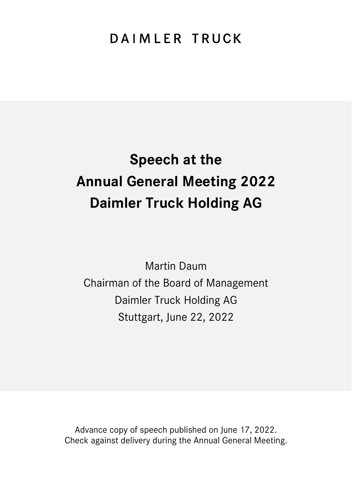## DAIMLER TRUCK

# **Speech at the Annual General Meeting 2022 Daimler Truck Holding AG**

Martin Daum Chairman of the Board of Management Daimler Truck Holding AG Stuttgart, June 22, 2022

Advance copy of speech published on June 17, 2022. Check against delivery during the Annual General Meeting.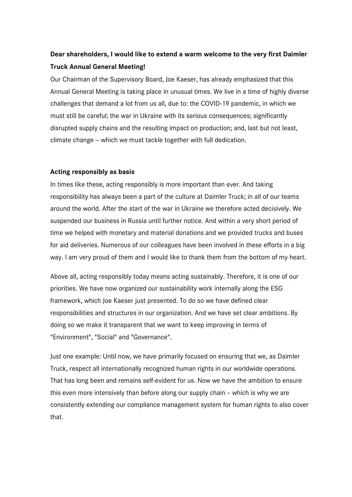### **Dear shareholders, I would like to extend a warm welcome to the very first Daimler Truck Annual General Meeting!**

Our Chairman of the Supervisory Board, Joe Kaeser, has already emphasized that this Annual General Meeting is taking place in unusual times. We live in a time of highly diverse challenges that demand a lot from us all, due to: the COVID-19 pandemic, in which we must still be careful; the war in Ukraine with its serious consequences; significantly disrupted supply chains and the resulting impact on production; and, last but not least, climate change – which we must tackle together with full dedication.

#### **Acting responsibly as basis**

In times like these, acting responsibly is more important than ever. And taking responsibility has always been a part of the culture at Daimler Truck; in all of our teams around the world. After the start of the war in Ukraine we therefore acted decisively. We suspended our business in Russia until further notice. And within a very short period of time we helped with monetary and material donations and we provided trucks and buses for aid deliveries. Numerous of our colleagues have been involved in these efforts in a big way. I am very proud of them and I would like to thank them from the bottom of my heart.

Above all, acting responsibly today means acting sustainably. Therefore, it is one of our priorities. We have now organized our sustainability work internally along the ESG framework, which Joe Kaeser just presented. To do so we have defined clear responsibilities and structures in our organization. And we have set clear ambitions. By doing so we make it transparent that we want to keep improving in terms of "Environment", "Social" and "Governance".

Just one example: Until now, we have primarily focused on ensuring that we, as Daimler Truck, respect all internationally recognized human rights in our worldwide operations. That has long been and remains self-evident for us. Now we have the ambition to ensure this even more intensively than before along our supply chain – which is why we are consistently extending our compliance management system for human rights to also cover that.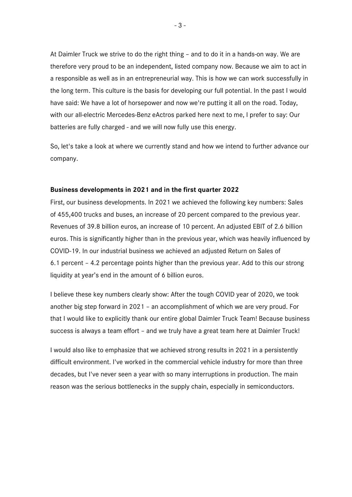At Daimler Truck we strive to do the right thing – and to do it in a hands-on way. We are therefore very proud to be an independent, listed company now. Because we aim to act in a responsible as well as in an entrepreneurial way. This is how we can work successfully in the long term. This culture is the basis for developing our full potential. In the past I would have said: We have a lot of horsepower and now we're putting it all on the road. Today, with our all-electric Mercedes-Benz eActros parked here next to me, I prefer to say: Our batteries are fully charged - and we will now fully use this energy.

So, let's take a look at where we currently stand and how we intend to further advance our company.

#### **Business developments in 2021 and in the first quarter 2022**

First, our business developments. In 2021 we achieved the following key numbers: Sales of 455,400 trucks and buses, an increase of 20 percent compared to the previous year. Revenues of 39.8 billion euros, an increase of 10 percent. An adjusted EBIT of 2.6 billion euros. This is significantly higher than in the previous year, which was heavily influenced by COVID-19. In our industrial business we achieved an adjusted Return on Sales of 6.1 percent – 4.2 percentage points higher than the previous year. Add to this our strong liquidity at year's end in the amount of 6 billion euros.

I believe these key numbers clearly show: After the tough COVID year of 2020, we took another big step forward in 2021 – an accomplishment of which we are very proud. For that I would like to explicitly thank our entire global Daimler Truck Team! Because business success is always a team effort – and we truly have a great team here at Daimler Truck!

I would also like to emphasize that we achieved strong results in 2021 in a persistently difficult environment. I've worked in the commercial vehicle industry for more than three decades, but I've never seen a year with so many interruptions in production. The main reason was the serious bottlenecks in the supply chain, especially in semiconductors.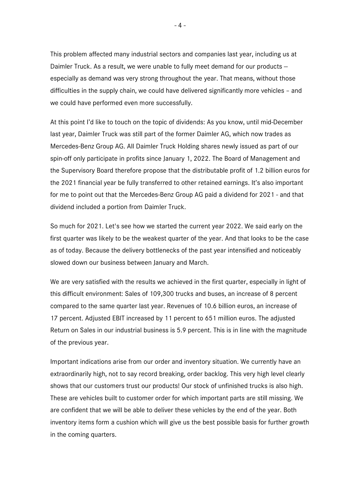This problem affected many industrial sectors and companies last year, including us at Daimler Truck. As a result, we were unable to fully meet demand for our products especially as demand was very strong throughout the year. That means, without those difficulties in the supply chain, we could have delivered significantly more vehicles – and we could have performed even more successfully.

At this point I'd like to touch on the topic of dividends: As you know, until mid-December last year, Daimler Truck was still part of the former Daimler AG, which now trades as Mercedes-Benz Group AG. All Daimler Truck Holding shares newly issued as part of our spin-off only participate in profits since January 1, 2022. The Board of Management and the Supervisory Board therefore propose that the distributable profit of 1.2 billion euros for the 2021 financial year be fully transferred to other retained earnings. It's also important for me to point out that the Mercedes-Benz Group AG paid a dividend for 2021 - and that dividend included a portion from Daimler Truck.

So much for 2021. Let's see how we started the current year 2022. We said early on the first quarter was likely to be the weakest quarter of the year. And that looks to be the case as of today. Because the delivery bottlenecks of the past year intensified and noticeably slowed down our business between January and March.

We are very satisfied with the results we achieved in the first quarter, especially in light of this difficult environment: Sales of 109,300 trucks and buses, an increase of 8 percent compared to the same quarter last year. Revenues of 10.6 billion euros, an increase of 17 percent. Adjusted EBIT increased by 11 percent to 651 million euros. The adjusted Return on Sales in our industrial business is 5.9 percent. This is in line with the magnitude of the previous year.

Important indications arise from our order and inventory situation. We currently have an extraordinarily high, not to say record breaking, order backlog. This very high level clearly shows that our customers trust our products! Our stock of unfinished trucks is also high. These are vehicles built to customer order for which important parts are still missing. We are confident that we will be able to deliver these vehicles by the end of the year. Both inventory items form a cushion which will give us the best possible basis for further growth in the coming quarters.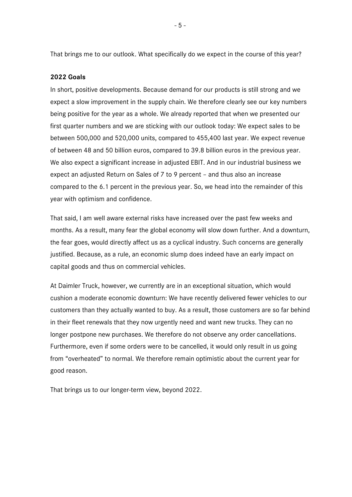That brings me to our outlook. What specifically do we expect in the course of this year?

#### **2022 Goals**

In short, positive developments. Because demand for our products is still strong and we expect a slow improvement in the supply chain. We therefore clearly see our key numbers being positive for the year as a whole. We already reported that when we presented our first quarter numbers and we are sticking with our outlook today: We expect sales to be between 500,000 and 520,000 units, compared to 455,400 last year. We expect revenue of between 48 and 50 billion euros, compared to 39.8 billion euros in the previous year. We also expect a significant increase in adjusted EBIT. And in our industrial business we expect an adjusted Return on Sales of 7 to 9 percent – and thus also an increase compared to the 6.1 percent in the previous year. So, we head into the remainder of this year with optimism and confidence.

That said, I am well aware external risks have increased over the past few weeks and months. As a result, many fear the global economy will slow down further. And a downturn, the fear goes, would directly affect us as a cyclical industry. Such concerns are generally justified. Because, as a rule, an economic slump does indeed have an early impact on capital goods and thus on commercial vehicles.

At Daimler Truck, however, we currently are in an exceptional situation, which would cushion a moderate economic downturn: We have recently delivered fewer vehicles to our customers than they actually wanted to buy. As a result, those customers are so far behind in their fleet renewals that they now urgently need and want new trucks. They can no longer postpone new purchases. We therefore do not observe any order cancellations. Furthermore, even if some orders were to be cancelled, it would only result in us going from "overheated" to normal. We therefore remain optimistic about the current year for good reason.

That brings us to our longer-term view, beyond 2022.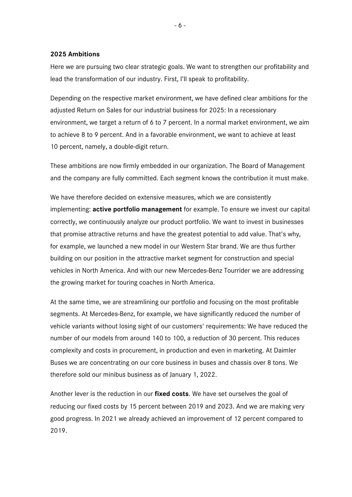#### **2025 Ambitions**

Here we are pursuing two clear strategic goals. We want to strengthen our profitability and lead the transformation of our industry. First, I'll speak to profitability.

Depending on the respective market environment, we have defined clear ambitions for the adjusted Return on Sales for our industrial business for 2025: In a recessionary environment, we target a return of 6 to 7 percent. In a normal market environment, we aim to achieve 8 to 9 percent. And in a favorable environment, we want to achieve at least 10 percent, namely, a double-digit return.

These ambitions are now firmly embedded in our organization. The Board of Management and the company are fully committed. Each segment knows the contribution it must make.

We have therefore decided on extensive measures, which we are consistently implementing: **active portfolio management** for example. To ensure we invest our capital correctly, we continuously analyze our product portfolio. We want to invest in businesses that promise attractive returns and have the greatest potential to add value. That's why, for example, we launched a new model in our Western Star brand. We are thus further building on our position in the attractive market segment for construction and special vehicles in North America. And with our new Mercedes-Benz Tourrider we are addressing the growing market for touring coaches in North America.

At the same time, we are streamlining our portfolio and focusing on the most profitable segments. At Mercedes-Benz, for example, we have significantly reduced the number of vehicle variants without losing sight of our customers' requirements: We have reduced the number of our models from around 140 to 100, a reduction of 30 percent. This reduces complexity and costs in procurement, in production and even in marketing. At Daimler Buses we are concentrating on our core business in buses and chassis over 8 tons. We therefore sold our minibus business as of January 1, 2022.

Another lever is the reduction in our **fixed costs**. We have set ourselves the goal of reducing our fixed costs by 15 percent between 2019 and 2023. And we are making very good progress. In 2021 we already achieved an improvement of 12 percent compared to 2019.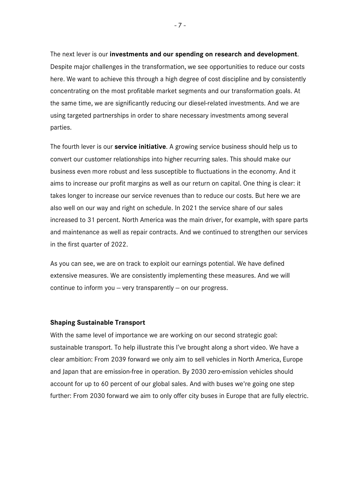The next lever is our **investments and our spending on research and development**. Despite major challenges in the transformation, we see opportunities to reduce our costs here. We want to achieve this through a high degree of cost discipline and by consistently concentrating on the most profitable market segments and our transformation goals. At the same time, we are significantly reducing our diesel-related investments. And we are using targeted partnerships in order to share necessary investments among several parties.

The fourth lever is our **service initiative**. A growing service business should help us to convert our customer relationships into higher recurring sales. This should make our business even more robust and less susceptible to fluctuations in the economy. And it aims to increase our profit margins as well as our return on capital. One thing is clear: it takes longer to increase our service revenues than to reduce our costs. But here we are also well on our way and right on schedule. In 2021 the service share of our sales increased to 31 percent. North America was the main driver, for example, with spare parts and maintenance as well as repair contracts. And we continued to strengthen our services in the first quarter of 2022.

As you can see, we are on track to exploit our earnings potential. We have defined extensive measures. We are consistently implementing these measures. And we will continue to inform you  $-$  very transparently  $-$  on our progress.

#### **Shaping Sustainable Transport**

With the same level of importance we are working on our second strategic goal: sustainable transport. To help illustrate this I've brought along a short video. We have a clear ambition: From 2039 forward we only aim to sell vehicles in North America, Europe and Japan that are emission-free in operation. By 2030 zero-emission vehicles should account for up to 60 percent of our global sales. And with buses we're going one step further: From 2030 forward we aim to only offer city buses in Europe that are fully electric.

- 7 -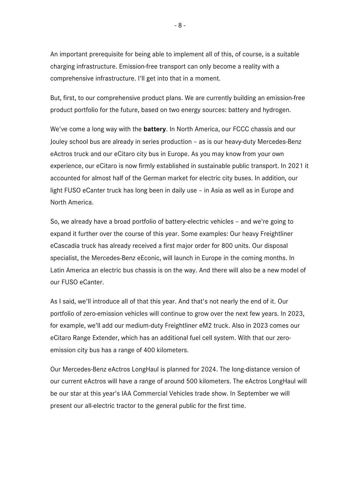An important prerequisite for being able to implement all of this, of course, is a suitable charging infrastructure. Emission-free transport can only become a reality with a comprehensive infrastructure. I'll get into that in a moment.

But, first, to our comprehensive product plans. We are currently building an emission-free product portfolio for the future, based on two energy sources: battery and hydrogen.

We've come a long way with the **battery**. In North America, our FCCC chassis and our Jouley school bus are already in series production – as is our heavy-duty Mercedes-Benz eActros truck and our eCitaro city bus in Europe. As you may know from your own experience, our eCitaro is now firmly established in sustainable public transport. In 2021 it accounted for almost half of the German market for electric city buses. In addition, our light FUSO eCanter truck has long been in daily use – in Asia as well as in Europe and North America.

So, we already have a broad portfolio of battery-electric vehicles – and we're going to expand it further over the course of this year. Some examples: Our heavy Freightliner eCascadia truck has already received a first major order for 800 units. Our disposal specialist, the Mercedes-Benz eEconic, will launch in Europe in the coming months. In Latin America an electric bus chassis is on the way. And there will also be a new model of our FUSO eCanter.

As I said, we'll introduce all of that this year. And that's not nearly the end of it. Our portfolio of zero-emission vehicles will continue to grow over the next few years. In 2023, for example, we'll add our medium-duty Freightliner eM2 truck. Also in 2023 comes our eCitaro Range Extender, which has an additional fuel cell system. With that our zeroemission city bus has a range of 400 kilometers.

Our Mercedes-Benz eActros LongHaul is planned for 2024. The long-distance version of our current eActros will have a range of around 500 kilometers. The eActros LongHaul will be our star at this year's IAA Commercial Vehicles trade show. In September we will present our all-electric tractor to the general public for the first time.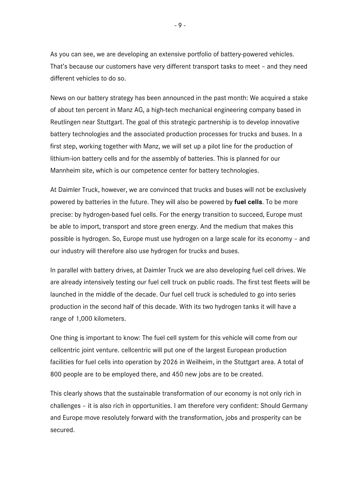As you can see, we are developing an extensive portfolio of battery-powered vehicles. That's because our customers have very different transport tasks to meet – and they need different vehicles to do so.

News on our battery strategy has been announced in the past month: We acquired a stake of about ten percent in Manz AG, a high-tech mechanical engineering company based in Reutlingen near Stuttgart. The goal of this strategic partnership is to develop innovative battery technologies and the associated production processes for trucks and buses. In a first step, working together with Manz, we will set up a pilot line for the production of lithium-ion battery cells and for the assembly of batteries. This is planned for our Mannheim site, which is our competence center for battery technologies.

At Daimler Truck, however, we are convinced that trucks and buses will not be exclusively powered by batteries in the future. They will also be powered by **fuel cells**. To be more precise: by hydrogen-based fuel cells. For the energy transition to succeed, Europe must be able to import, transport and store green energy. And the medium that makes this possible is hydrogen. So, Europe must use hydrogen on a large scale for its economy – and our industry will therefore also use hydrogen for trucks and buses.

In parallel with battery drives, at Daimler Truck we are also developing fuel cell drives. We are already intensively testing our fuel cell truck on public roads. The first test fleets will be launched in the middle of the decade. Our fuel cell truck is scheduled to go into series production in the second half of this decade. With its two hydrogen tanks it will have a range of 1,000 kilometers.

One thing is important to know: The fuel cell system for this vehicle will come from our cellcentric joint venture. cellcentric will put one of the largest European production facilities for fuel cells into operation by 2026 in Weilheim, in the Stuttgart area. A total of 800 people are to be employed there, and 450 new jobs are to be created.

This clearly shows that the sustainable transformation of our economy is not only rich in challenges – it is also rich in opportunities. I am therefore very confident: Should Germany and Europe move resolutely forward with the transformation, jobs and prosperity can be secured.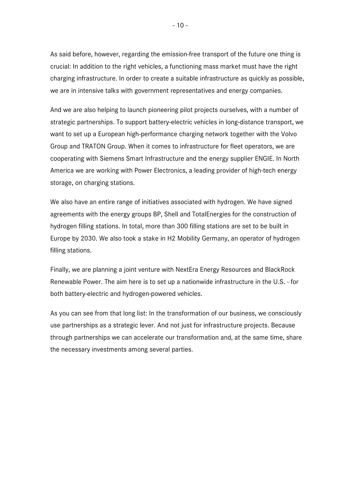As said before, however, regarding the emission-free transport of the future one thing is crucial: In addition to the right vehicles, a functioning mass market must have the right charging infrastructure. In order to create a suitable infrastructure as quickly as possible, we are in intensive talks with government representatives and energy companies.

And we are also helping to launch pioneering pilot projects ourselves, with a number of strategic partnerships. To support battery-electric vehicles in long-distance transport, we want to set up a European high-performance charging network together with the Volvo Group and TRATON Group. When it comes to infrastructure for fleet operators, we are cooperating with Siemens Smart Infrastructure and the energy supplier ENGIE. In North America we are working with Power Electronics, a leading provider of high-tech energy storage, on charging stations.

We also have an entire range of initiatives associated with hydrogen. We have signed agreements with the energy groups BP, Shell and TotalEnergies for the construction of hydrogen filling stations. In total, more than 300 filling stations are set to be built in Europe by 2030. We also took a stake in H2 Mobility Germany, an operator of hydrogen filling stations.

Finally, we are planning a joint venture with NextEra Energy Resources and BlackRock Renewable Power. The aim here is to set up a nationwide infrastructure in the U.S. - for both battery-electric and hydrogen-powered vehicles.

As you can see from that long list: In the transformation of our business, we consciously use partnerships as a strategic lever. And not just for infrastructure projects. Because through partnerships we can accelerate our transformation and, at the same time, share the necessary investments among several parties.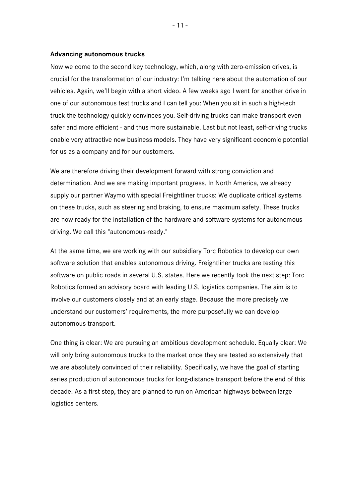#### **Advancing autonomous trucks**

Now we come to the second key technology, which, along with zero-emission drives, is crucial for the transformation of our industry: I'm talking here about the automation of our vehicles. Again, we'll begin with a short video. A few weeks ago I went for another drive in one of our autonomous test trucks and I can tell you: When you sit in such a high-tech truck the technology quickly convinces you. Self-driving trucks can make transport even safer and more efficient - and thus more sustainable. Last but not least, self-driving trucks enable very attractive new business models. They have very significant economic potential for us as a company and for our customers.

We are therefore driving their development forward with strong conviction and determination. And we are making important progress. In North America, we already supply our partner Waymo with special Freightliner trucks: We duplicate critical systems on these trucks, such as steering and braking, to ensure maximum safety. These trucks are now ready for the installation of the hardware and software systems for autonomous driving. We call this "autonomous-ready."

At the same time, we are working with our subsidiary Torc Robotics to develop our own software solution that enables autonomous driving. Freightliner trucks are testing this software on public roads in several U.S. states. Here we recently took the next step: Torc Robotics formed an advisory board with leading U.S. logistics companies. The aim is to involve our customers closely and at an early stage. Because the more precisely we understand our customers' requirements, the more purposefully we can develop autonomous transport.

One thing is clear: We are pursuing an ambitious development schedule. Equally clear: We will only bring autonomous trucks to the market once they are tested so extensively that we are absolutely convinced of their reliability. Specifically, we have the goal of starting series production of autonomous trucks for long-distance transport before the end of this decade. As a first step, they are planned to run on American highways between large logistics centers.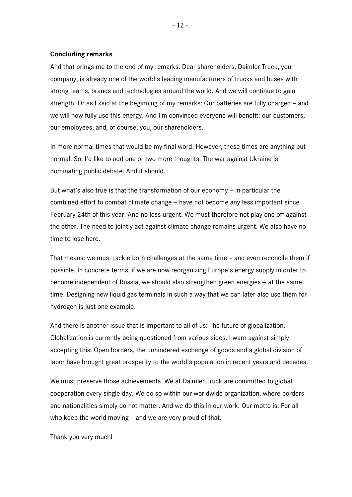#### **Concluding remarks**

And that brings me to the end of my remarks. Dear shareholders, Daimler Truck, your company, is already one of the world's leading manufacturers of trucks and buses with strong teams, brands and technologies around the world. And we will continue to gain strength. Or as I said at the beginning of my remarks: Our batteries are fully charged – and we will now fully use this energy. And I'm convinced everyone will benefit: our customers, our employees, and, of course, you, our shareholders.

In more normal times that would be my final word. However, these times are anything but normal. So, I'd like to add one or two more thoughts. The war against Ukraine is dominating public debate. And it should.

But what's also true is that the transformation of our economy  $-$  in particular the combined effort to combat climate change – have not become any less important since February 24th of this year. And no less urgent. We must therefore not play one off against the other. The need to jointly act against climate change remains urgent. We also have no time to lose here.

That means: we must tackle both challenges at the same time – and even reconcile them if possible. In concrete terms, if we are now reorganizing Europe's energy supply in order to become independent of Russia, we should also strengthen green energies -- at the same time. Designing new liquid gas terminals in such a way that we can later also use them for hydrogen is just one example.

And there is another issue that is important to all of us: The future of globalization. Globalization is currently being questioned from various sides. I warn against simply accepting this. Open borders, the unhindered exchange of goods and a global division of labor have brought great prosperity to the world's population in recent years and decades.

We must preserve those achievements. We at Daimler Truck are committed to global cooperation every single day. We do so within our worldwide organization, where borders and nationalities simply do not matter. And we do this in our work. Our motto is: For all who keep the world moving – and we are very proud of that.

Thank you very much!